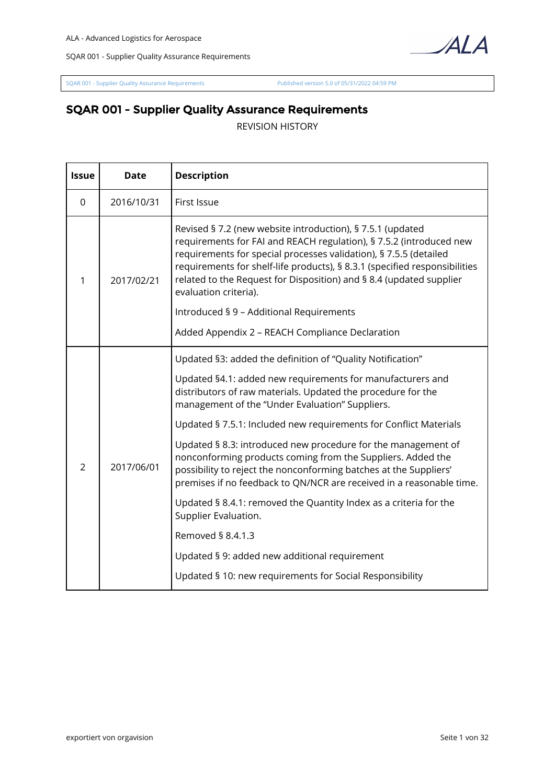

[SQAR 001 - Supplier Quality Assurance Requirements](https://ala.orgavision.com/lesen/#!documentation;id=542bded2-85e6-476e-acf7-e208bc3839b4) [Published version 5.0 of 05/31/2022 04:59 PM](https://ala.orgavision.com/lesen/#!documentation;id=542bded2-85e6-476e-acf7-e208bc3839b4;version=5.0)

## **SQAR 001 - Supplier Quality Assurance Requirements**

REVISION HISTORY

| <b>Issue</b>   | <b>Date</b> | <b>Description</b>                                                                                                                                                                                                                                                                                                                                                                   |
|----------------|-------------|--------------------------------------------------------------------------------------------------------------------------------------------------------------------------------------------------------------------------------------------------------------------------------------------------------------------------------------------------------------------------------------|
| $\mathbf 0$    | 2016/10/31  | First Issue                                                                                                                                                                                                                                                                                                                                                                          |
| 1              | 2017/02/21  | Revised § 7.2 (new website introduction), § 7.5.1 (updated<br>requirements for FAI and REACH regulation), § 7.5.2 (introduced new<br>requirements for special processes validation), § 7.5.5 (detailed<br>requirements for shelf-life products), § 8.3.1 (specified responsibilities<br>related to the Request for Disposition) and § 8.4 (updated supplier<br>evaluation criteria). |
|                |             | Introduced § 9 - Additional Requirements                                                                                                                                                                                                                                                                                                                                             |
|                |             | Added Appendix 2 - REACH Compliance Declaration                                                                                                                                                                                                                                                                                                                                      |
| $\overline{2}$ | 2017/06/01  | Updated §3: added the definition of "Quality Notification"<br>Updated §4.1: added new requirements for manufacturers and<br>distributors of raw materials. Updated the procedure for the<br>management of the "Under Evaluation" Suppliers.<br>Updated § 7.5.1: Included new requirements for Conflict Materials                                                                     |
|                |             | Updated § 8.3: introduced new procedure for the management of<br>nonconforming products coming from the Suppliers. Added the<br>possibility to reject the nonconforming batches at the Suppliers'<br>premises if no feedback to QN/NCR are received in a reasonable time.                                                                                                            |
|                |             | Updated § 8.4.1: removed the Quantity Index as a criteria for the<br>Supplier Evaluation.                                                                                                                                                                                                                                                                                            |
|                |             | Removed § 8.4.1.3                                                                                                                                                                                                                                                                                                                                                                    |
|                |             | Updated § 9: added new additional requirement                                                                                                                                                                                                                                                                                                                                        |
|                |             | Updated § 10: new requirements for Social Responsibility                                                                                                                                                                                                                                                                                                                             |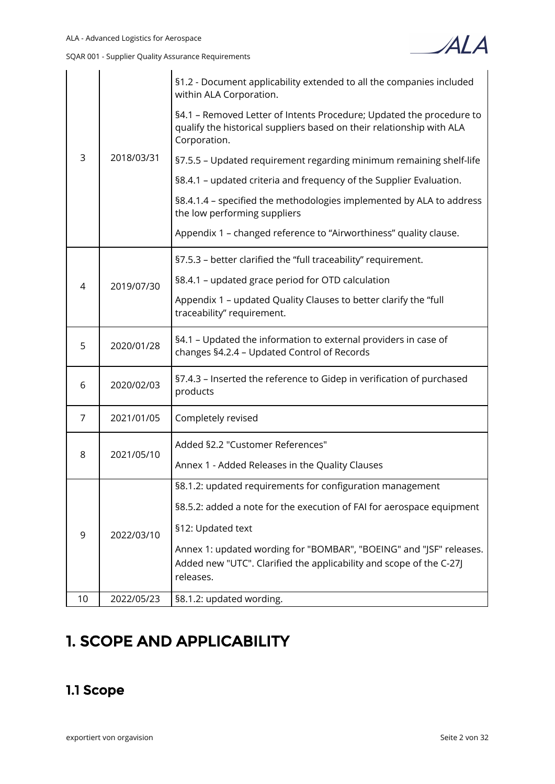| 3<br>4 | 2018/03/31 | §1.2 - Document applicability extended to all the companies included<br>within ALA Corporation.                                                               |
|--------|------------|---------------------------------------------------------------------------------------------------------------------------------------------------------------|
|        |            | §4.1 - Removed Letter of Intents Procedure; Updated the procedure to<br>qualify the historical suppliers based on their relationship with ALA<br>Corporation. |
|        |            | §7.5.5 - Updated requirement regarding minimum remaining shelf-life                                                                                           |
|        |            | §8.4.1 - updated criteria and frequency of the Supplier Evaluation.                                                                                           |
|        |            | §8.4.1.4 - specified the methodologies implemented by ALA to address<br>the low performing suppliers                                                          |
|        |            | Appendix 1 - changed reference to "Airworthiness" quality clause.                                                                                             |
|        |            | §7.5.3 - better clarified the "full traceability" requirement.                                                                                                |
|        | 2019/07/30 | §8.4.1 - updated grace period for OTD calculation                                                                                                             |
|        |            | Appendix 1 - updated Quality Clauses to better clarify the "full<br>traceability" requirement.                                                                |
| 5      | 2020/01/28 | §4.1 - Updated the information to external providers in case of<br>changes §4.2.4 - Updated Control of Records                                                |
| 6      | 2020/02/03 | §7.4.3 - Inserted the reference to Gidep in verification of purchased<br>products                                                                             |
| 7      | 2021/01/05 | Completely revised                                                                                                                                            |
|        | 2021/05/10 | Added §2.2 "Customer References"                                                                                                                              |
| 8      |            | Annex 1 - Added Releases in the Quality Clauses                                                                                                               |
|        | 2022/03/10 | §8.1.2: updated requirements for configuration management                                                                                                     |
| 9      |            | §8.5.2: added a note for the execution of FAI for aerospace equipment                                                                                         |
|        |            | §12: Updated text                                                                                                                                             |
|        |            | Annex 1: updated wording for "BOMBAR", "BOEING" and "JSF" releases.<br>Added new "UTC". Clarified the applicability and scope of the C-27J<br>releases.       |
| 10     | 2022/05/23 | §8.1.2: updated wording.                                                                                                                                      |

# **1. SCOPE AND APPLICABILITY**

# **1.1 Scope**

ALA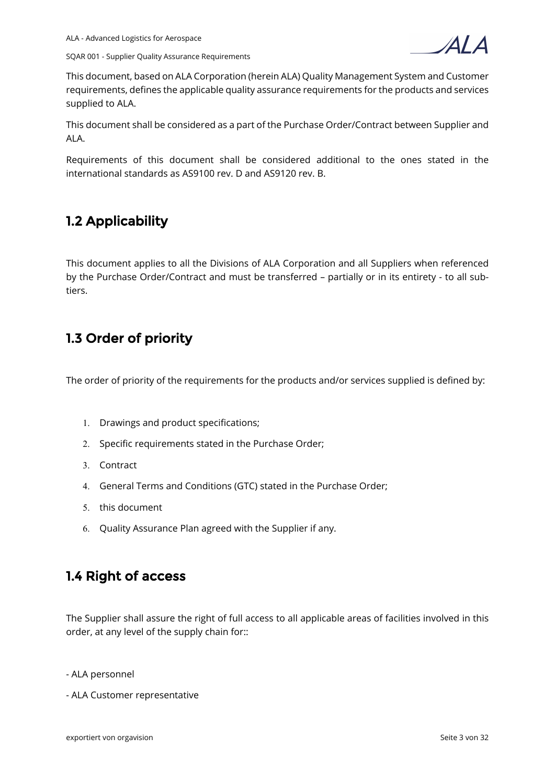



This document, based on ALA Corporation (herein ALA) Quality Management System and Customer requirements, defines the applicable quality assurance requirements for the products and services supplied to ALA.

This document shall be considered as a part of the Purchase Order/Contract between Supplier and ALA.

Requirements of this document shall be considered additional to the ones stated in the international standards as AS9100 rev. D and AS9120 rev. B.

## **1.2 Applicability**

This document applies to all the Divisions of ALA Corporation and all Suppliers when referenced by the Purchase Order/Contract and must be transferred – partially or in its entirety - to all subtiers.

## **1.3 Order of priority**

The order of priority of the requirements for the products and/or services supplied is defined by:

- 1. Drawings and product specifications;
- 2. Specific requirements stated in the Purchase Order;
- 3. Contract
- 4. General Terms and Conditions (GTC) stated in the Purchase Order;
- 5. this document
- 6. Quality Assurance Plan agreed with the Supplier if any.

## **1.4 Right of access**

The Supplier shall assure the right of full access to all applicable areas of facilities involved in this order, at any level of the supply chain for::

- ALA personnel
- ALA Customer representative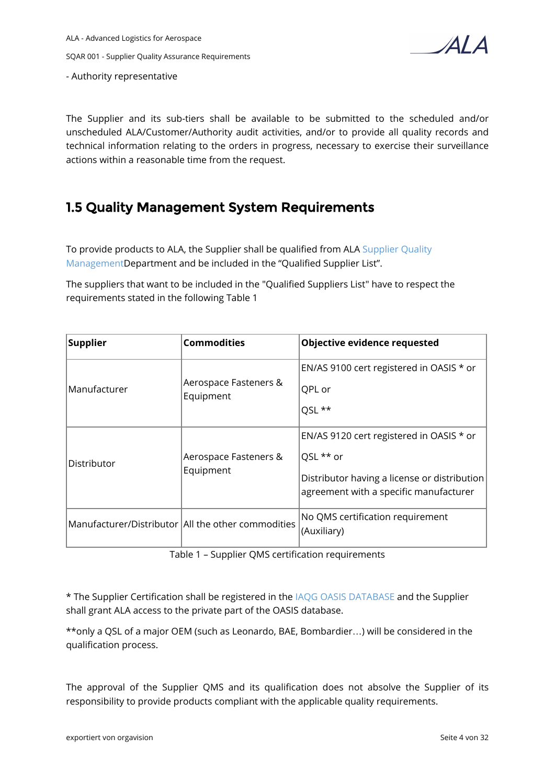- Authority representative

 $\boldsymbol{A}$ l $\boldsymbol{A}$ 

The Supplier and its sub-tiers shall be available to be submitted to the scheduled and/or unscheduled ALA/Customer/Authority audit activities, and/or to provide all quality records and technical information relating to the orders in progress, necessary to exercise their surveillance actions within a reasonable time from the request.

## **1.5 Quality Management System Requirements**

To provide products to ALA, the Supplier shall be qualified from ALA [Supplier Quality](https://ala.orgavision.com/lesen/#!documentation;id=bf51273e-4f05-4e7d-b127-977564b4ae7a)  [ManagementD](https://ala.orgavision.com/lesen/#!documentation;id=bf51273e-4f05-4e7d-b127-977564b4ae7a)epartment and be included in the "Qualified Supplier List".

The suppliers that want to be included in the "Qualified Suppliers List" have to respect the requirements stated in the following Table 1

| Supplier      | <b>Commodities</b>                                   | Objective evidence requested                                                                                                                    |
|---------------|------------------------------------------------------|-------------------------------------------------------------------------------------------------------------------------------------------------|
| lManufacturer | Aerospace Fasteners &<br>Equipment                   | EN/AS 9100 cert registered in OASIS * or<br>QPL or<br>QSL **                                                                                    |
| Distributor   | Aerospace Fasteners &<br>Equipment                   | EN/AS 9120 cert registered in OASIS * or<br>QSL ** or<br>Distributor having a license or distribution<br>agreement with a specific manufacturer |
|               | Manufacturer/Distributor   All the other commodities | No QMS certification requirement<br>(Auxiliary)                                                                                                 |

Table 1 – Supplier QMS certification requirements

\* The Supplier Certification shall be registered in the [IAQG OASIS DATABASE](https://www.iaqg.org/oasis/login) and the Supplier shall grant ALA access to the private part of the OASIS database.

\*\*only a QSL of a major OEM (such as Leonardo, BAE, Bombardier…) will be considered in the qualification process.

The approval of the Supplier QMS and its qualification does not absolve the Supplier of its responsibility to provide products compliant with the applicable quality requirements.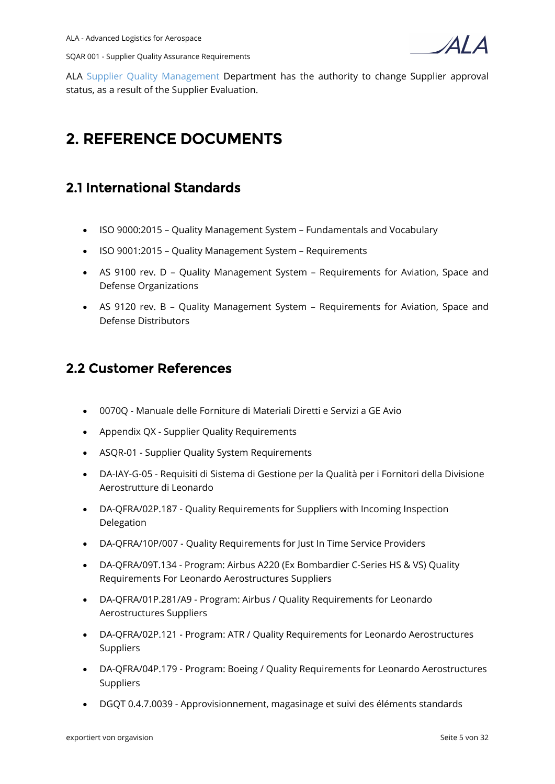

ALA [Supplier Quality Management](https://ala.orgavision.com/lesen/#!documentation;id=bf51273e-4f05-4e7d-b127-977564b4ae7a) Department has the authority to change Supplier approval status, as a result of the Supplier Evaluation.

# **2. REFERENCE DOCUMENTS**

## **2.1 International Standards**

- ISO 9000:2015 Quality Management System Fundamentals and Vocabulary
- ISO 9001:2015 Quality Management System Requirements
- AS 9100 rev. D Quality Management System Requirements for Aviation, Space and Defense Organizations
- AS 9120 rev. B Quality Management System Requirements for Aviation, Space and Defense Distributors

## **2.2 Customer References**

- 0070Q Manuale delle Forniture di Materiali Diretti e Servizi a GE Avio
- Appendix QX Supplier Quality Requirements
- ASQR-01 Supplier Quality System Requirements
- DA-IAY-G-05 Requisiti di Sistema di Gestione per la Qualità per i Fornitori della Divisione Aerostrutture di Leonardo
- DA-QFRA/02P.187 Quality Requirements for Suppliers with Incoming Inspection Delegation
- DA-QFRA/10P/007 Quality Requirements for Just In Time Service Providers
- DA-QFRA/09T.134 Program: Airbus A220 (Ex Bombardier C-Series HS & VS) Quality Requirements For Leonardo Aerostructures Suppliers
- DA-QFRA/01P.281/A9 Program: Airbus / Quality Requirements for Leonardo Aerostructures Suppliers
- DA-QFRA/02P.121 Program: ATR / Quality Requirements for Leonardo Aerostructures Suppliers
- DA-QFRA/04P.179 Program: Boeing / Quality Requirements for Leonardo Aerostructures Suppliers
- DGQT 0.4.7.0039 Approvisionnement, magasinage et suivi des éléments standards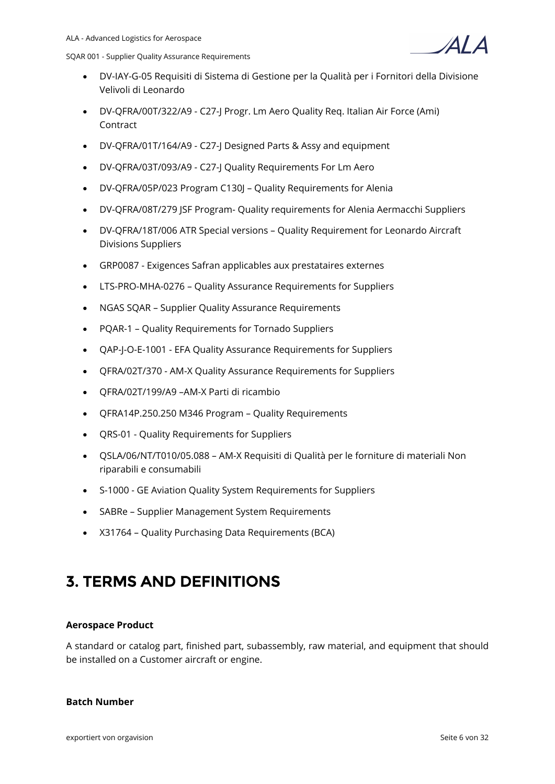

- DV-IAY-G-05 Requisiti di Sistema di Gestione per la Qualità per i Fornitori della Divisione Velivoli di Leonardo
- DV-QFRA/00T/322/A9 C27-J Progr. Lm Aero Quality Req. Italian Air Force (Ami) Contract
- DV-QFRA/01T/164/A9 C27-J Designed Parts & Assy and equipment
- DV-QFRA/03T/093/A9 C27-J Quality Requirements For Lm Aero
- DV-QFRA/05P/023 Program C130J Quality Requirements for Alenia
- DV-QFRA/08T/279 JSF Program- Quality requirements for Alenia Aermacchi Suppliers
- DV-QFRA/18T/006 ATR Special versions Quality Requirement for Leonardo Aircraft Divisions Suppliers
- GRP0087 Exigences Safran applicables aux prestataires externes
- LTS-PRO-MHA-0276 Quality Assurance Requirements for Suppliers
- NGAS SQAR Supplier Quality Assurance Requirements
- PQAR-1 Quality Requirements for Tornado Suppliers
- QAP-J-O-E-1001 EFA Quality Assurance Requirements for Suppliers
- QFRA/02T/370 AM-X Quality Assurance Requirements for Suppliers
- QFRA/02T/199/A9 –AM-X Parti di ricambio
- QFRA14P.250.250 M346 Program Quality Requirements
- QRS-01 Quality Requirements for Suppliers
- QSLA/06/NT/T010/05.088 AM-X Requisiti di Qualità per le forniture di materiali Non riparabili e consumabili
- S-1000 GE Aviation Quality System Requirements for Suppliers
- SABRe Supplier Management System Requirements
- X31764 Quality Purchasing Data Requirements (BCA)

# **3. TERMS AND DEFINITIONS**

#### **Aerospace Product**

A standard or catalog part, finished part, subassembly, raw material, and equipment that should be installed on a Customer aircraft or engine.

#### **Batch Number**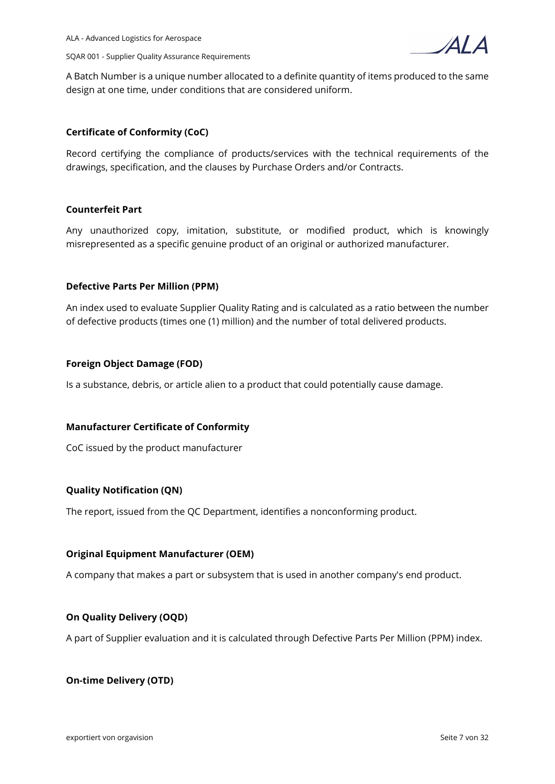



A Batch Number is a unique number allocated to a definite quantity of items produced to the same design at one time, under conditions that are considered uniform.

#### **Certificate of Conformity (CoC)**

Record certifying the compliance of products/services with the technical requirements of the drawings, specification, and the clauses by Purchase Orders and/or Contracts.

#### **Counterfeit Part**

Any unauthorized copy, imitation, substitute, or modified product, which is knowingly misrepresented as a specific genuine product of an original or authorized manufacturer.

#### **Defective Parts Per Million (PPM)**

An index used to evaluate Supplier Quality Rating and is calculated as a ratio between the number of defective products (times one (1) million) and the number of total delivered products.

#### **Foreign Object Damage (FOD)**

Is a substance, debris, or article alien to a product that could potentially cause damage.

#### **Manufacturer Certificate of Conformity**

CoC issued by the product manufacturer

#### **Quality Notification (QN)**

The report, issued from the QC Department, identifies a nonconforming product.

#### **Original Equipment Manufacturer (OEM)**

A company that makes a part or subsystem that is used in another company's end product.

#### **On Quality Delivery (OQD)**

A part of Supplier evaluation and it is calculated through Defective Parts Per Million (PPM) index.

#### **On-time Delivery (OTD)**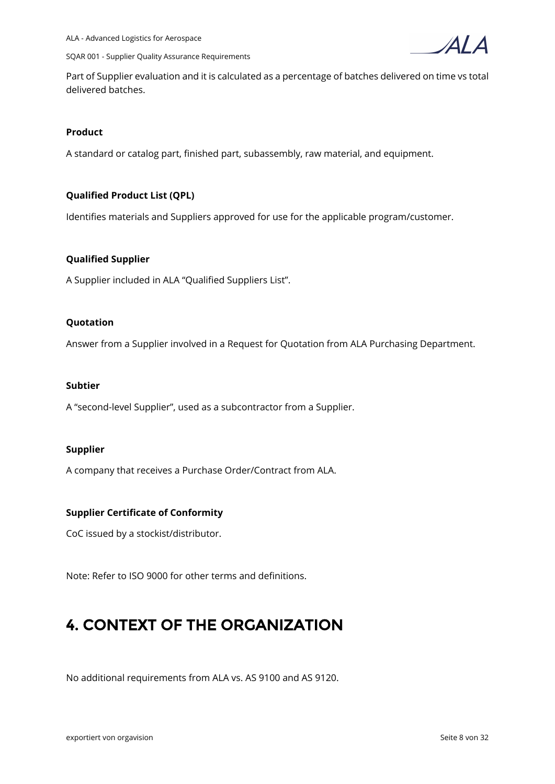

 $\Delta I$ 



Part of Supplier evaluation and it is calculated as a percentage of batches delivered on time vs total delivered batches.

#### **Product**

A standard or catalog part, finished part, subassembly, raw material, and equipment.

#### **Qualified Product List (QPL)**

Identifies materials and Suppliers approved for use for the applicable program/customer.

#### **Qualified Supplier**

A Supplier included in ALA "Qualified Suppliers List".

#### **Quotation**

Answer from a Supplier involved in a Request for Quotation from ALA Purchasing Department.

#### **Subtier**

A "second-level Supplier", used as a subcontractor from a Supplier.

#### **Supplier**

A company that receives a Purchase Order/Contract from ALA.

#### **Supplier Certificate of Conformity**

CoC issued by a stockist/distributor.

Note: Refer to ISO 9000 for other terms and definitions.

# **4. CONTEXT OF THE ORGANIZATION**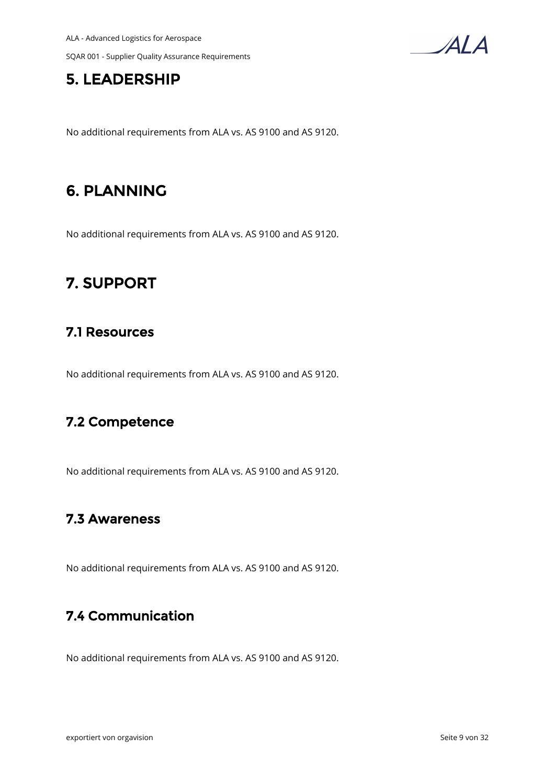

## **5. LEADERSHIP**

No additional requirements from ALA vs. AS 9100 and AS 9120.

# **6. PLANNING**

No additional requirements from ALA vs. AS 9100 and AS 9120.

# **7. SUPPORT**

## **7.1 Resources**

No additional requirements from ALA vs. AS 9100 and AS 9120.

## **7.2 Competence**

No additional requirements from ALA vs. AS 9100 and AS 9120.

## **7.3 Awareness**

No additional requirements from ALA vs. AS 9100 and AS 9120.

## **7.4 Communication**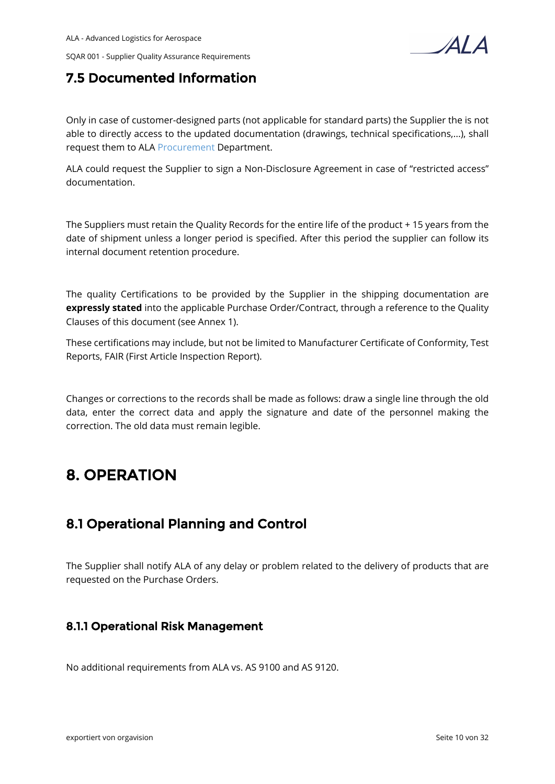

## **7.5 Documented Information**

Only in case of customer-designed parts (not applicable for standard parts) the Supplier the is not able to directly access to the updated documentation (drawings, technical specifications,...), shall request them to ALA [Procurement](https://ala.orgavision.com/lesen/#!documentation;id=fd4d19b5-fb46-4dec-8b66-56a9332957b6) Department.

ALA could request the Supplier to sign a Non-Disclosure Agreement in case of "restricted access" documentation.

The Suppliers must retain the Quality Records for the entire life of the product + 15 years from the date of shipment unless a longer period is specified. After this period the supplier can follow its internal document retention procedure.

The quality Certifications to be provided by the Supplier in the shipping documentation are **expressly stated** into the applicable Purchase Order/Contract, through a reference to the Quality Clauses of this document (see Annex 1).

These certifications may include, but not be limited to Manufacturer Certificate of Conformity, Test Reports, FAIR (First Article Inspection Report).

Changes or corrections to the records shall be made as follows: draw a single line through the old data, enter the correct data and apply the signature and date of the personnel making the correction. The old data must remain legible.

# **8. OPERATION**

## **8.1 Operational Planning and Control**

The Supplier shall notify ALA of any delay or problem related to the delivery of products that are requested on the Purchase Orders.

### **8.1.1 Operational Risk Management**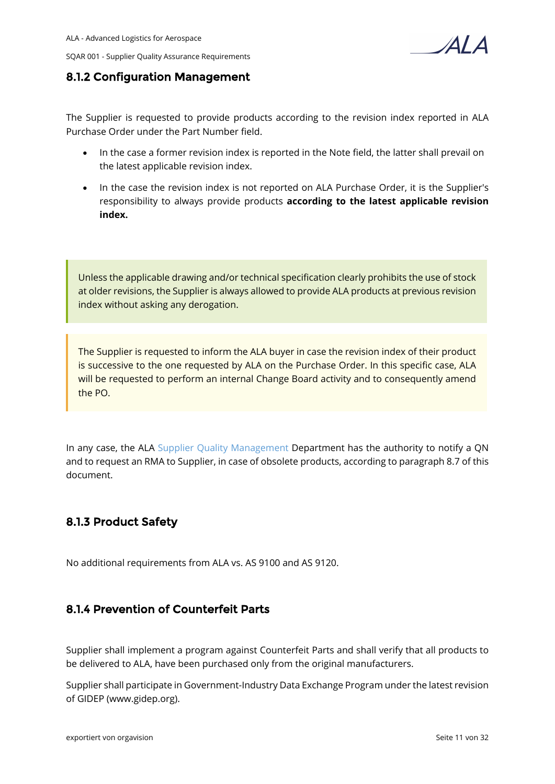



### **8.1.2 Configuration Management**

The Supplier is requested to provide products according to the revision index reported in ALA Purchase Order under the Part Number field.

- In the case a former revision index is reported in the Note field, the latter shall prevail on the latest applicable revision index.
- In the case the revision index is not reported on ALA Purchase Order, it is the Supplier's responsibility to always provide products **according to the latest applicable revision index.**

Unless the applicable drawing and/or technical specification clearly prohibits the use of stock at older revisions, the Supplier is always allowed to provide ALA products at previous revision index without asking any derogation.

The Supplier is requested to inform the ALA buyer in case the revision index of their product is successive to the one requested by ALA on the Purchase Order. In this specific case, ALA will be requested to perform an internal Change Board activity and to consequently amend the PO.

In any case, the ALA [Supplier Quality Management](https://ala.orgavision.com/lesen/#!documentation;id=bf51273e-4f05-4e7d-b127-977564b4ae7a) Department has the authority to notify a QN and to request an RMA to Supplier, in case of obsolete products, according to paragraph 8.7 of this document.

## **8.1.3 Product Safety**

No additional requirements from ALA vs. AS 9100 and AS 9120.

### **8.1.4 Prevention of Counterfeit Parts**

Supplier shall implement a program against Counterfeit Parts and shall verify that all products to be delivered to ALA, have been purchased only from the original manufacturers.

Supplier shall participate in Government-Industry Data Exchange Program under the latest revision of GIDEP (www.gidep.org).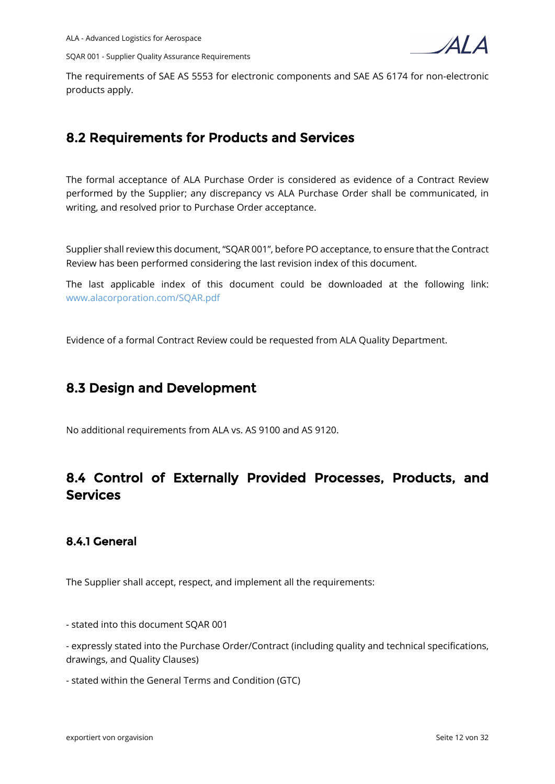

The requirements of SAE AS 5553 for electronic components and SAE AS 6174 for non-electronic products apply.

## **8.2 Requirements for Products and Services**

The formal acceptance of ALA Purchase Order is considered as evidence of a Contract Review performed by the Supplier; any discrepancy vs ALA Purchase Order shall be communicated, in writing, and resolved prior to Purchase Order acceptance.

Supplier shall review this document, "SQAR 001", before PO acceptance, to ensure that the Contract Review has been performed considering the last revision index of this document.

The last applicable index of this document could be downloaded at the following link: [www.alacorporation.com/SQAR.pdf](http://www.alacorporation.com/SQAR.pdf)

Evidence of a formal Contract Review could be requested from ALA Quality Department.

## **8.3 Design and Development**

No additional requirements from ALA vs. AS 9100 and AS 9120.

## **8.4 Control of Externally Provided Processes, Products, and Services**

## **8.4.1 General**

The Supplier shall accept, respect, and implement all the requirements:

- stated into this document SQAR 001

- expressly stated into the Purchase Order/Contract (including quality and technical specifications, drawings, and Quality Clauses)

- stated within the General Terms and Condition (GTC)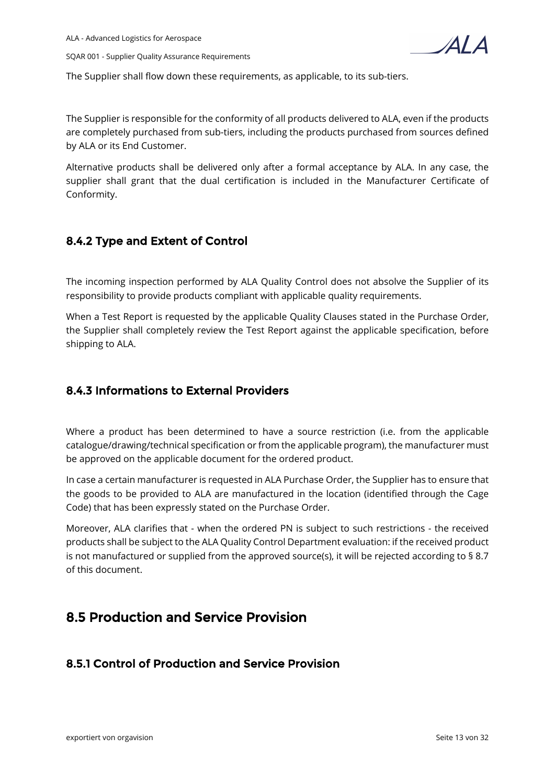

The Supplier shall flow down these requirements, as applicable, to its sub-tiers.

The Supplier is responsible for the conformity of all products delivered to ALA, even if the products are completely purchased from sub-tiers, including the products purchased from sources defined by ALA or its End Customer.

Alternative products shall be delivered only after a formal acceptance by ALA. In any case, the supplier shall grant that the dual certification is included in the Manufacturer Certificate of Conformity.

## **8.4.2 Type and Extent of Control**

The incoming inspection performed by ALA Quality Control does not absolve the Supplier of its responsibility to provide products compliant with applicable quality requirements.

When a Test Report is requested by the applicable Quality Clauses stated in the Purchase Order, the Supplier shall completely review the Test Report against the applicable specification, before shipping to ALA.

## **8.4.3 Informations to External Providers**

Where a product has been determined to have a source restriction (i.e. from the applicable catalogue/drawing/technical specification or from the applicable program), the manufacturer must be approved on the applicable document for the ordered product.

In case a certain manufacturer is requested in ALA Purchase Order, the Supplier has to ensure that the goods to be provided to ALA are manufactured in the location (identified through the Cage Code) that has been expressly stated on the Purchase Order.

Moreover, ALA clarifies that - when the ordered PN is subject to such restrictions - the received products shall be subject to the ALA Quality Control Department evaluation: if the received product is not manufactured or supplied from the approved source(s), it will be rejected according to § 8.7 of this document.

## **8.5 Production and Service Provision**

## **8.5.1 Control of Production and Service Provision**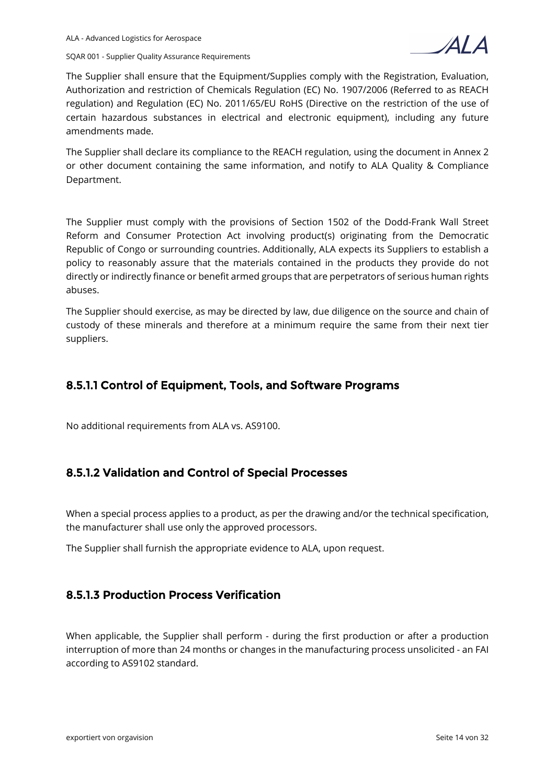

The Supplier shall ensure that the Equipment/Supplies comply with the Registration, Evaluation, Authorization and restriction of Chemicals Regulation (EC) No. 1907/2006 (Referred to as REACH regulation) and Regulation (EC) No. 2011/65/EU RoHS (Directive on the restriction of the use of certain hazardous substances in electrical and electronic equipment), including any future amendments made.

The Supplier shall declare its compliance to the REACH regulation, using the document in Annex 2 or other document containing the same information, and notify to ALA Quality & Compliance Department.

The Supplier must comply with the provisions of Section 1502 of the Dodd-Frank Wall Street Reform and Consumer Protection Act involving product(s) originating from the Democratic Republic of Congo or surrounding countries. Additionally, ALA expects its Suppliers to establish a policy to reasonably assure that the materials contained in the products they provide do not directly or indirectly finance or benefit armed groups that are perpetrators of serious human rights abuses.

The Supplier should exercise, as may be directed by law, due diligence on the source and chain of custody of these minerals and therefore at a minimum require the same from their next tier suppliers.

### **8.5.1.1 Control of Equipment, Tools, and Software Programs**

No additional requirements from ALA vs. AS9100.

### **8.5.1.2 Validation and Control of Special Processes**

When a special process applies to a product, as per the drawing and/or the technical specification, the manufacturer shall use only the approved processors.

The Supplier shall furnish the appropriate evidence to ALA, upon request.

### **8.5.1.3 Production Process Verification**

When applicable, the Supplier shall perform - during the first production or after a production interruption of more than 24 months or changes in the manufacturing process unsolicited - an FAI according to AS9102 standard.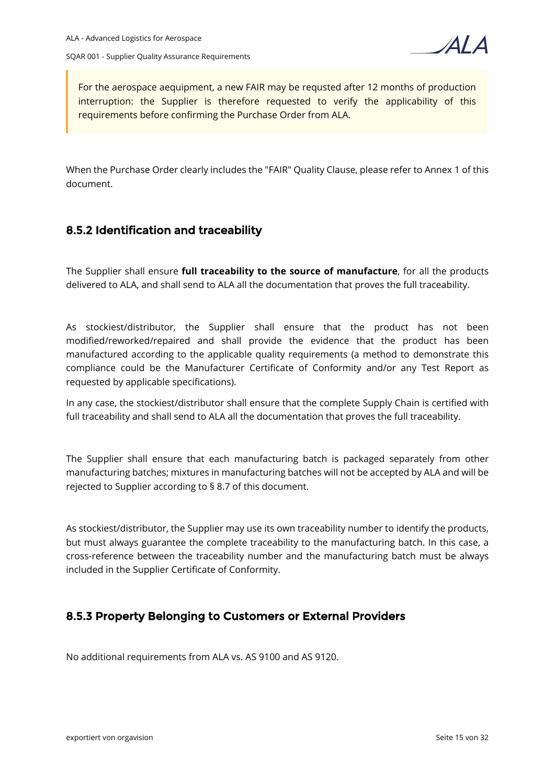

For the aerospace aequipment, a new FAIR may be requsted after 12 months of production interruption: the Supplier is therefore requested to verify the applicability of this requirements before confirming the Purchase Order from ALA.

When the Purchase Order clearly includes the "FAIR" Quality Clause, please refer to Annex 1 of this document.

### **8.5.2 Identification and traceability**

The Supplier shall ensure **full traceability to the source of manufacture**, for all the products delivered to ALA, and shall send to ALA all the documentation that proves the full traceability.

As stockiest/distributor, the Supplier shall ensure that the product has not been modified/reworked/repaired and shall provide the evidence that the product has been manufactured according to the applicable quality requirements (a method to demonstrate this compliance could be the Manufacturer Certificate of Conformity and/or any Test Report as requested by applicable specifications).

In any case, the stockiest/distributor shall ensure that the complete Supply Chain is certified with full traceability and shall send to ALA all the documentation that proves the full traceability.

The Supplier shall ensure that each manufacturing batch is packaged separately from other manufacturing batches; mixtures in manufacturing batches will not be accepted by ALA and will be rejected to Supplier according to § 8.7 of this document.

As stockiest/distributor, the Supplier may use its own traceability number to identify the products, but must always guarantee the complete traceability to the manufacturing batch. In this case, a cross-reference between the traceability number and the manufacturing batch must be always included in the Supplier Certificate of Conformity.

### **8.5.3 Property Belonging to Customers or External Providers**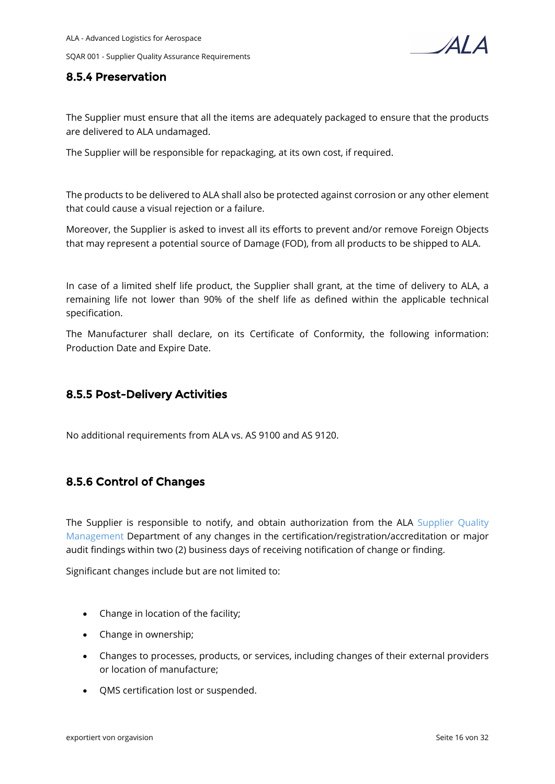

### **8.5.4 Preservation**

The Supplier must ensure that all the items are adequately packaged to ensure that the products are delivered to ALA undamaged.

The Supplier will be responsible for repackaging, at its own cost, if required.

The products to be delivered to ALA shall also be protected against corrosion or any other element that could cause a visual rejection or a failure.

Moreover, the Supplier is asked to invest all its efforts to prevent and/or remove Foreign Objects that may represent a potential source of Damage (FOD), from all products to be shipped to ALA.

In case of a limited shelf life product, the Supplier shall grant, at the time of delivery to ALA, a remaining life not lower than 90% of the shelf life as defined within the applicable technical specification.

The Manufacturer shall declare, on its Certificate of Conformity, the following information: Production Date and Expire Date.

### **8.5.5 Post-Delivery Activities**

No additional requirements from ALA vs. AS 9100 and AS 9120.

### **8.5.6 Control of Changes**

The Supplier is responsible to notify, and obtain authorization from the ALA Supplier Quality [Management](https://ala.orgavision.com/lesen/#!documentation;id=bf51273e-4f05-4e7d-b127-977564b4ae7a) Department of any changes in the certification/registration/accreditation or major audit findings within two (2) business days of receiving notification of change or finding.

Significant changes include but are not limited to:

- Change in location of the facility;
- Change in ownership;
- Changes to processes, products, or services, including changes of their external providers or location of manufacture;
- QMS certification lost or suspended.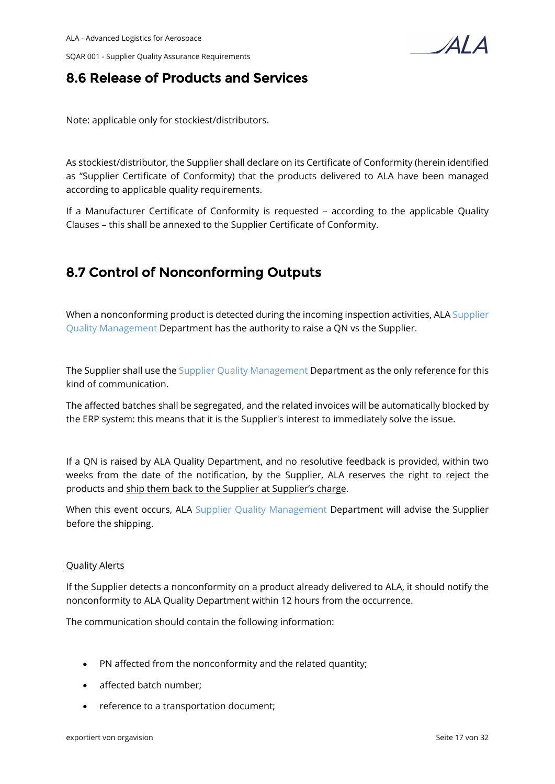

## **8.6 Release of Products and Services**

Note: applicable only for stockiest/distributors.

As stockiest/distributor, the Supplier shall declare on its Certificate of Conformity (herein identified as "Supplier Certificate of Conformity) that the products delivered to ALA have been managed according to applicable quality requirements.

If a Manufacturer Certificate of Conformity is requested – according to the applicable Quality Clauses – this shall be annexed to the Supplier Certificate of Conformity.

## **8.7 Control of Nonconforming Outputs**

When a nonconforming product is detected during the incoming inspection activities, ALA [Supplier](https://ala.orgavision.com/lesen/#!documentation;id=bf51273e-4f05-4e7d-b127-977564b4ae7a)  [Quality Management](https://ala.orgavision.com/lesen/#!documentation;id=bf51273e-4f05-4e7d-b127-977564b4ae7a) Department has the authority to raise a QN vs the Supplier.

The Supplier shall use the [Supplier Quality Management](https://ala.orgavision.com/lesen/#!documentation;id=bf51273e-4f05-4e7d-b127-977564b4ae7a) Department as the only reference for this kind of communication.

The affected batches shall be segregated, and the related invoices will be automatically blocked by the ERP system: this means that it is the Supplier's interest to immediately solve the issue.

If a QN is raised by ALA Quality Department, and no resolutive feedback is provided, within two weeks from the date of the notification, by the Supplier, ALA reserves the right to reject the products and ship them back to the Supplier at Supplier's charge.

When this event occurs, ALA [Supplier Quality Management](https://ala.orgavision.com/lesen/#!documentation;id=bf51273e-4f05-4e7d-b127-977564b4ae7a) Department will advise the Supplier before the shipping.

#### Quality Alerts

If the Supplier detects a nonconformity on a product already delivered to ALA, it should notify the nonconformity to ALA Quality Department within 12 hours from the occurrence.

The communication should contain the following information:

- PN affected from the nonconformity and the related quantity;
- affected batch number;
- reference to a transportation document;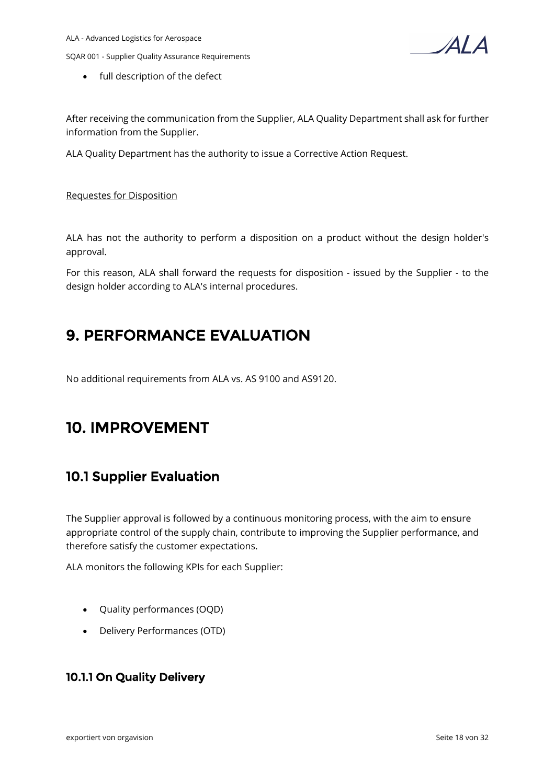$\Delta I$   $\Delta$ 

• full description of the defect

After receiving the communication from the Supplier, ALA Quality Department shall ask for further information from the Supplier.

ALA Quality Department has the authority to issue a Corrective Action Request.

#### Requestes for Disposition

ALA has not the authority to perform a disposition on a product without the design holder's approval.

For this reason, ALA shall forward the requests for disposition - issued by the Supplier - to the design holder according to ALA's internal procedures.

## **9. PERFORMANCE EVALUATION**

No additional requirements from ALA vs. AS 9100 and AS9120.

## **10. IMPROVEMENT**

## **10.1 Supplier Evaluation**

The Supplier approval is followed by a continuous monitoring process, with the aim to ensure appropriate control of the supply chain, contribute to improving the Supplier performance, and therefore satisfy the customer expectations.

ALA monitors the following KPIs for each Supplier:

- Quality performances (OQD)
- Delivery Performances (OTD)

### **10.1.1 On Quality Delivery**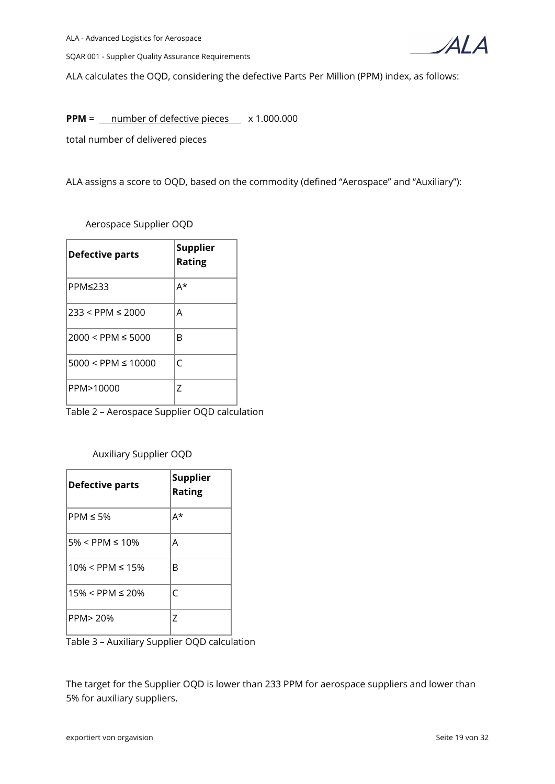

ALA calculates the OQD, considering the defective Parts Per Million (PPM) index, as follows:

**PPM** =  $\frac{m}{m}$  number of defective pieces  $\times$  1.000.000

total number of delivered pieces

ALA assigns a score to OQD, based on the commodity (defined "Aerospace" and "Auxiliary"):

Aerospace Supplier OQD

| <b>Defective parts</b> | <b>Supplier</b><br><b>Rating</b> |
|------------------------|----------------------------------|
| PPM≤233                | A*                               |
| $233 < PPM \le 2000$   | Α                                |
| $2000 < PPM \leq 5000$ | R                                |
| $5000 < PPM \le 10000$ | C                                |
| PPM>10000              | 7                                |

Table 2 – Aerospace Supplier OQD calculation

Auxiliary Supplier OQD

| <b>Defective parts</b>  | <b>Supplier</b><br><b>Rating</b> |
|-------------------------|----------------------------------|
| $PPM \leq 5\%$          | A*                               |
| $5\% <$ PPM $\leq 10\%$ | А                                |
| $10\% < PPM \leq 15\%$  | B                                |
| $15\% < PPM \le 20\%$   | C                                |
| PPM> 20%                | 7                                |

Table 3 – Auxiliary Supplier OQD calculation

The target for the Supplier OQD is lower than 233 PPM for aerospace suppliers and lower than 5% for auxiliary suppliers.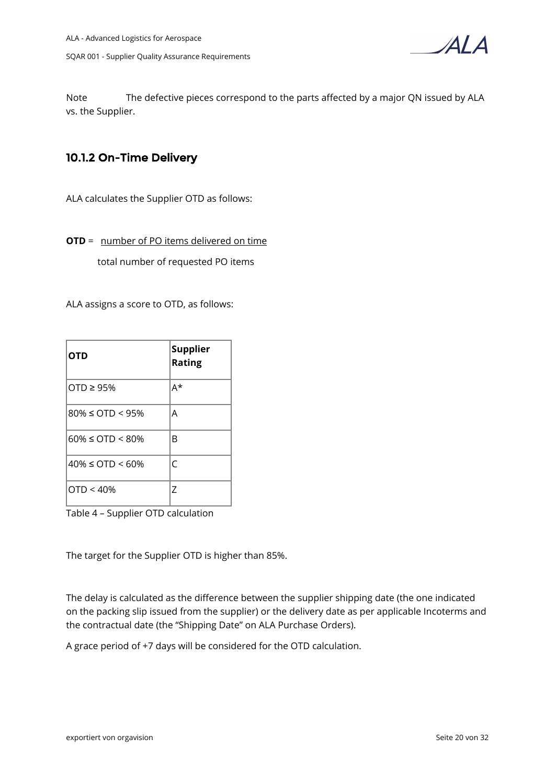

Note The defective pieces correspond to the parts affected by a major QN issued by ALA vs. the Supplier.

### **10.1.2 On-Time Delivery**

ALA calculates the Supplier OTD as follows:

**OTD** = number of PO items delivered on time

total number of requested PO items

ALA assigns a score to OTD, as follows:

| <b>OTD</b>                 | <b>Supplier</b><br><b>Rating</b> |
|----------------------------|----------------------------------|
| OTD $\geq$ 95%             | A*                               |
| $80\% \leq OTD \leq 95\%$  | Α                                |
| $60\% \leq$ OTD < 80%      | B                                |
| $40\% \leq$ OTD $\leq$ 60% | C                                |
| OTD < 40%                  | 7                                |

Table 4 – Supplier OTD calculation

The target for the Supplier OTD is higher than 85%.

The delay is calculated as the difference between the supplier shipping date (the one indicated on the packing slip issued from the supplier) or the delivery date as per applicable Incoterms and the contractual date (the "Shipping Date" on ALA Purchase Orders).

A grace period of +7 days will be considered for the OTD calculation.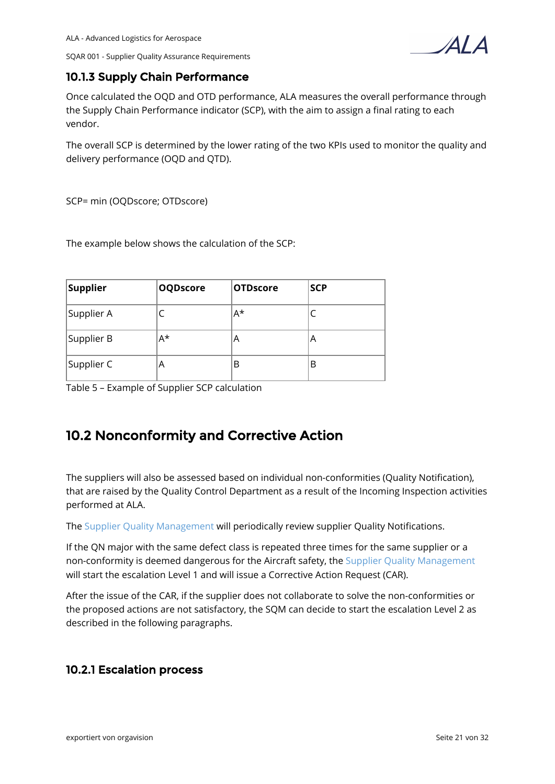$\Delta I$ 

### **10.1.3 Supply Chain Performance**

Once calculated the OQD and OTD performance, ALA measures the overall performance through the Supply Chain Performance indicator (SCP), with the aim to assign a final rating to each vendor.

The overall SCP is determined by the lower rating of the two KPIs used to monitor the quality and delivery performance (OQD and QTD).

SCP= min (OQDscore; OTDscore)

The example below shows the calculation of the SCP:

| Supplier   | <b>OQDscore</b> | <b>OTDscore</b> | <b>SCP</b> |
|------------|-----------------|-----------------|------------|
| Supplier A |                 | $A^*$           |            |
| Supplier B | A*              | A               | Α          |
| Supplier C | A               | В               | В          |

Table 5 – Example of Supplier SCP calculation

## **10.2 Nonconformity and Corrective Action**

The suppliers will also be assessed based on individual non-conformities (Quality Notification), that are raised by the Quality Control Department as a result of the Incoming Inspection activities performed at ALA.

The [Supplier Quality Management](https://ala.orgavision.com/lesen/#!documentation;id=bf51273e-4f05-4e7d-b127-977564b4ae7a) will periodically review supplier Quality Notifications.

If the QN major with the same defect class is repeated three times for the same supplier or a non-conformity is deemed dangerous for the Aircraft safety, the [Supplier Quality Management](https://ala.orgavision.com/lesen/#!documentation;id=bf51273e-4f05-4e7d-b127-977564b4ae7a) will start the escalation Level 1 and will issue a Corrective Action Request (CAR).

After the issue of the CAR, if the supplier does not collaborate to solve the non-conformities or the proposed actions are not satisfactory, the SQM can decide to start the escalation Level 2 as described in the following paragraphs.

### **10.2.1 Escalation process**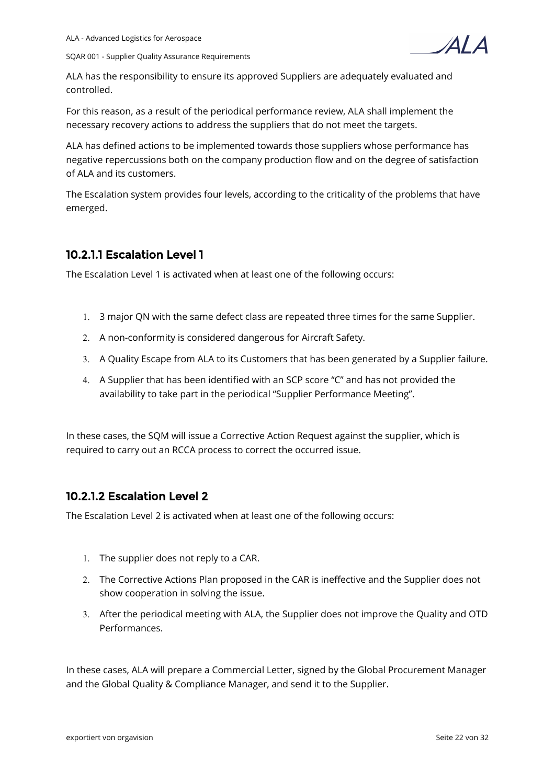

ALA has the responsibility to ensure its approved Suppliers are adequately evaluated and controlled.

For this reason, as a result of the periodical performance review, ALA shall implement the necessary recovery actions to address the suppliers that do not meet the targets.

ALA has defined actions to be implemented towards those suppliers whose performance has negative repercussions both on the company production flow and on the degree of satisfaction of ALA and its customers.

The Escalation system provides four levels, according to the criticality of the problems that have emerged.

### **10.2.1.1 Escalation Level 1**

The Escalation Level 1 is activated when at least one of the following occurs:

- 1. 3 major QN with the same defect class are repeated three times for the same Supplier.
- 2. A non-conformity is considered dangerous for Aircraft Safety.
- 3. A Quality Escape from ALA to its Customers that has been generated by a Supplier failure.
- 4. A Supplier that has been identified with an SCP score "C" and has not provided the availability to take part in the periodical "Supplier Performance Meeting".

In these cases, the SQM will issue a Corrective Action Request against the supplier, which is required to carry out an RCCA process to correct the occurred issue.

### **10.2.1.2 Escalation Level 2**

The Escalation Level 2 is activated when at least one of the following occurs:

- 1. The supplier does not reply to a CAR.
- 2. The Corrective Actions Plan proposed in the CAR is ineffective and the Supplier does not show cooperation in solving the issue.
- 3. After the periodical meeting with ALA, the Supplier does not improve the Quality and OTD Performances.

In these cases, ALA will prepare a Commercial Letter, signed by the Global Procurement Manager and the Global Quality & Compliance Manager, and send it to the Supplier.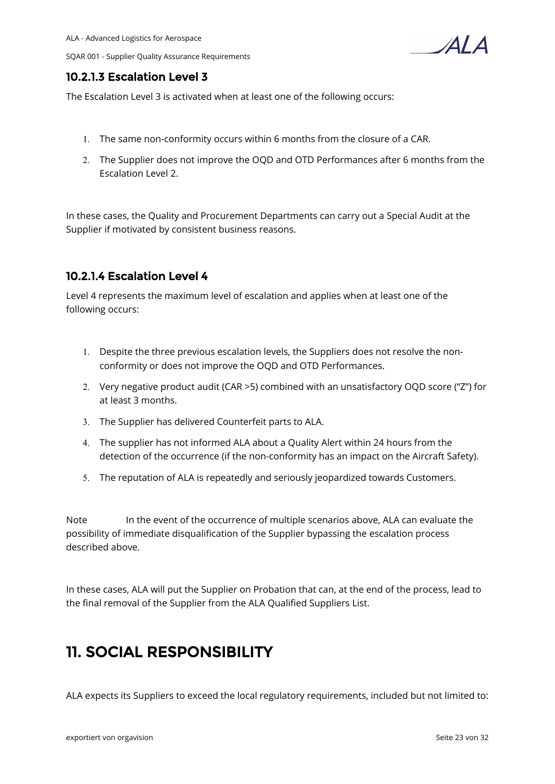$\Delta I$ 

### **10.2.1.3 Escalation Level 3**

The Escalation Level 3 is activated when at least one of the following occurs:

- 1. The same non-conformity occurs within 6 months from the closure of a CAR.
- 2. The Supplier does not improve the OQD and OTD Performances after 6 months from the Escalation Level 2.

In these cases, the Quality and Procurement Departments can carry out a Special Audit at the Supplier if motivated by consistent business reasons.

### **10.2.1.4 Escalation Level 4**

Level 4 represents the maximum level of escalation and applies when at least one of the following occurs:

- 1. Despite the three previous escalation levels, the Suppliers does not resolve the nonconformity or does not improve the OQD and OTD Performances.
- 2. Very negative product audit (CAR >5) combined with an unsatisfactory OQD score ("Z") for at least 3 months.
- 3. The Supplier has delivered Counterfeit parts to ALA.
- 4. The supplier has not informed ALA about a Quality Alert within 24 hours from the detection of the occurrence (if the non-conformity has an impact on the Aircraft Safety).
- 5. The reputation of ALA is repeatedly and seriously jeopardized towards Customers.

Note In the event of the occurrence of multiple scenarios above, ALA can evaluate the possibility of immediate disqualification of the Supplier bypassing the escalation process described above.

In these cases, ALA will put the Supplier on Probation that can, at the end of the process, lead to the final removal of the Supplier from the ALA Qualified Suppliers List.

# **11. SOCIAL RESPONSIBILITY**

ALA expects its Suppliers to exceed the local regulatory requirements, included but not limited to: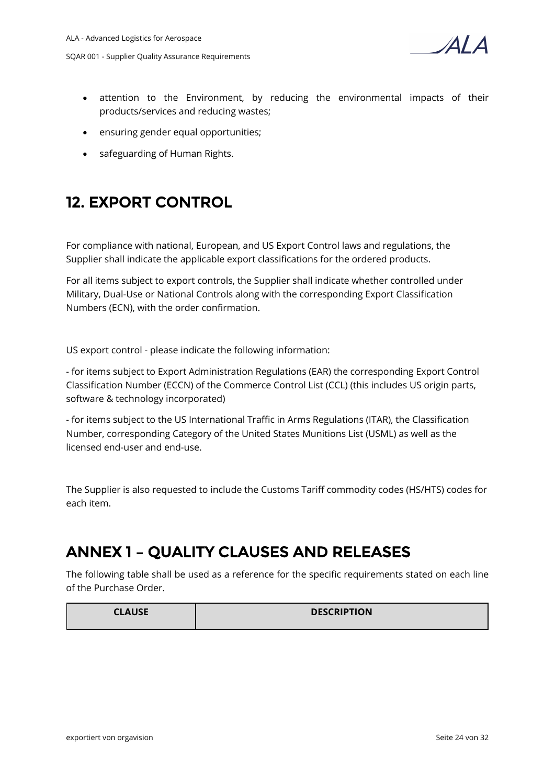

- attention to the Environment, by reducing the environmental impacts of their products/services and reducing wastes;
- ensuring gender equal opportunities;
- safeguarding of Human Rights.

# **12. EXPORT CONTROL**

For compliance with national, European, and US Export Control laws and regulations, the Supplier shall indicate the applicable export classifications for the ordered products.

For all items subject to export controls, the Supplier shall indicate whether controlled under Military, Dual-Use or National Controls along with the corresponding Export Classification Numbers (ECN), with the order confirmation.

US export control - please indicate the following information:

- for items subject to Export Administration Regulations (EAR) the corresponding Export Control Classification Number (ECCN) of the Commerce Control List (CCL) (this includes US origin parts, software & technology incorporated)

- for items subject to the US International Traffic in Arms Regulations (ITAR), the Classification Number, corresponding Category of the United States Munitions List (USML) as well as the licensed end-user and end-use.

The Supplier is also requested to include the Customs Tariff commodity codes (HS/HTS) codes for each item.

# **ANNEX 1 – QUALITY CLAUSES AND RELEASES**

The following table shall be used as a reference for the specific requirements stated on each line of the Purchase Order.

| <b>CLAUSE</b> | <b>DESCRIPTION</b> |
|---------------|--------------------|
|               |                    |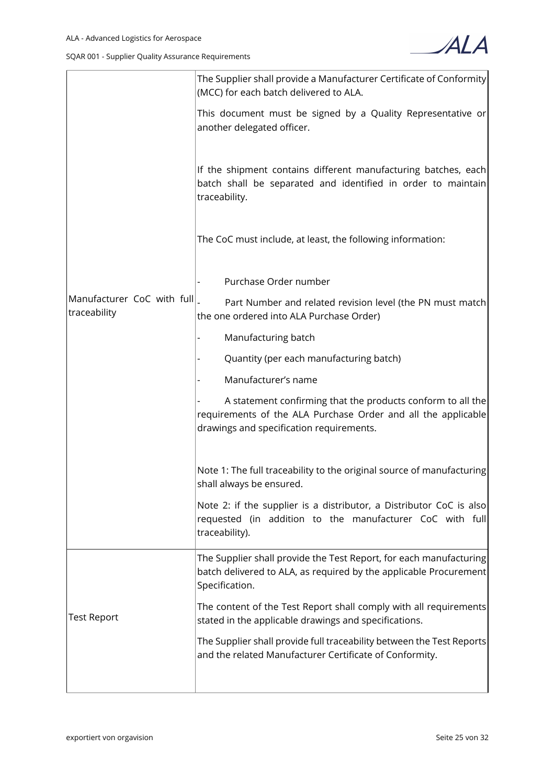

|                                            | The Supplier shall provide a Manufacturer Certificate of Conformity<br>(MCC) for each batch delivered to ALA.                                                            |
|--------------------------------------------|--------------------------------------------------------------------------------------------------------------------------------------------------------------------------|
|                                            | This document must be signed by a Quality Representative or<br>another delegated officer.                                                                                |
|                                            | If the shipment contains different manufacturing batches, each<br>batch shall be separated and identified in order to maintain<br>traceability.                          |
|                                            | The CoC must include, at least, the following information:                                                                                                               |
|                                            | Purchase Order number                                                                                                                                                    |
| Manufacturer CoC with full<br>traceability | Part Number and related revision level (the PN must match<br>the one ordered into ALA Purchase Order)                                                                    |
|                                            | Manufacturing batch                                                                                                                                                      |
|                                            | Quantity (per each manufacturing batch)                                                                                                                                  |
|                                            | Manufacturer's name                                                                                                                                                      |
|                                            | A statement confirming that the products conform to all the<br>requirements of the ALA Purchase Order and all the applicable<br>drawings and specification requirements. |
|                                            | Note 1: The full traceability to the original source of manufacturing<br>shall always be ensured.                                                                        |
|                                            | Note 2: if the supplier is a distributor, a Distributor CoC is also<br>requested (in addition to the manufacturer CoC with full<br>traceability).                        |
|                                            | The Supplier shall provide the Test Report, for each manufacturing<br>batch delivered to ALA, as required by the applicable Procurement<br>Specification.                |
| Test Report                                | The content of the Test Report shall comply with all requirements<br>stated in the applicable drawings and specifications.                                               |
|                                            | The Supplier shall provide full traceability between the Test Reports<br>and the related Manufacturer Certificate of Conformity.                                         |
|                                            |                                                                                                                                                                          |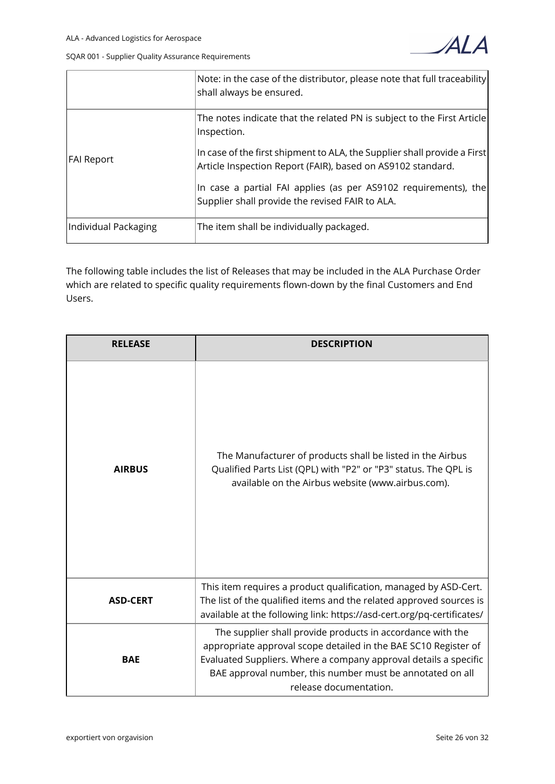



|                      | Note: in the case of the distributor, please note that full traceability<br>shall always be ensured.                                    |
|----------------------|-----------------------------------------------------------------------------------------------------------------------------------------|
|                      | The notes indicate that the related PN is subject to the First Article<br>Inspection.                                                   |
| FAI Report           | In case of the first shipment to ALA, the Supplier shall provide a First<br>Article Inspection Report (FAIR), based on AS9102 standard. |
|                      | In case a partial FAI applies (as per AS9102 requirements), the<br>Supplier shall provide the revised FAIR to ALA.                      |
| Individual Packaging | The item shall be individually packaged.                                                                                                |

The following table includes the list of Releases that may be included in the ALA Purchase Order which are related to specific quality requirements flown-down by the final Customers and End Users.

| <b>RELEASE</b>  | <b>DESCRIPTION</b>                                                                                                                                                                                                                                                                       |
|-----------------|------------------------------------------------------------------------------------------------------------------------------------------------------------------------------------------------------------------------------------------------------------------------------------------|
| <b>AIRBUS</b>   | The Manufacturer of products shall be listed in the Airbus<br>Qualified Parts List (QPL) with "P2" or "P3" status. The QPL is<br>available on the Airbus website (www.airbus.com).                                                                                                       |
| <b>ASD-CERT</b> | This item requires a product qualification, managed by ASD-Cert.<br>The list of the qualified items and the related approved sources is<br>available at the following link: https://asd-cert.org/pq-certificates/                                                                        |
| <b>BAE</b>      | The supplier shall provide products in accordance with the<br>appropriate approval scope detailed in the BAE SC10 Register of<br>Evaluated Suppliers. Where a company approval details a specific<br>BAE approval number, this number must be annotated on all<br>release documentation. |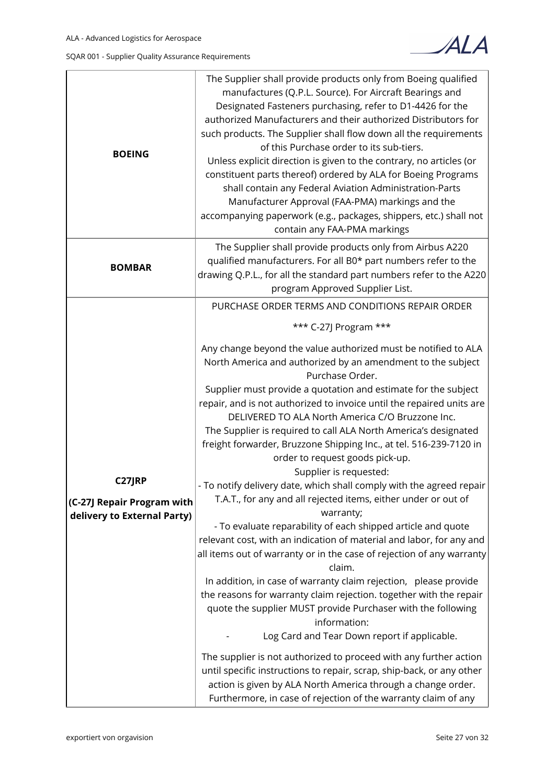

| <b>BOEING</b>                                                              | The Supplier shall provide products only from Boeing qualified<br>manufactures (Q.P.L. Source). For Aircraft Bearings and<br>Designated Fasteners purchasing, refer to D1-4426 for the<br>authorized Manufacturers and their authorized Distributors for<br>such products. The Supplier shall flow down all the requirements<br>of this Purchase order to its sub-tiers.<br>Unless explicit direction is given to the contrary, no articles (or<br>constituent parts thereof) ordered by ALA for Boeing Programs<br>shall contain any Federal Aviation Administration-Parts<br>Manufacturer Approval (FAA-PMA) markings and the<br>accompanying paperwork (e.g., packages, shippers, etc.) shall not<br>contain any FAA-PMA markings                                                                                                                                                                                                                                                                                                                                                                                                                                                                                                                                                                                                                                                                                                                                                                                                                                             |
|----------------------------------------------------------------------------|----------------------------------------------------------------------------------------------------------------------------------------------------------------------------------------------------------------------------------------------------------------------------------------------------------------------------------------------------------------------------------------------------------------------------------------------------------------------------------------------------------------------------------------------------------------------------------------------------------------------------------------------------------------------------------------------------------------------------------------------------------------------------------------------------------------------------------------------------------------------------------------------------------------------------------------------------------------------------------------------------------------------------------------------------------------------------------------------------------------------------------------------------------------------------------------------------------------------------------------------------------------------------------------------------------------------------------------------------------------------------------------------------------------------------------------------------------------------------------------------------------------------------------------------------------------------------------|
| <b>BOMBAR</b>                                                              | The Supplier shall provide products only from Airbus A220<br>qualified manufacturers. For all B0* part numbers refer to the<br>drawing Q.P.L., for all the standard part numbers refer to the A220<br>program Approved Supplier List.                                                                                                                                                                                                                                                                                                                                                                                                                                                                                                                                                                                                                                                                                                                                                                                                                                                                                                                                                                                                                                                                                                                                                                                                                                                                                                                                            |
| <b>C27JRP</b><br>(C-27J Repair Program with<br>delivery to External Party) | PURCHASE ORDER TERMS AND CONDITIONS REPAIR ORDER<br>*** C-27J Program ***<br>Any change beyond the value authorized must be notified to ALA<br>North America and authorized by an amendment to the subject<br>Purchase Order.<br>Supplier must provide a quotation and estimate for the subject<br>repair, and is not authorized to invoice until the repaired units are<br>DELIVERED TO ALA North America C/O Bruzzone Inc.<br>The Supplier is required to call ALA North America's designated<br>freight forwarder, Bruzzone Shipping Inc., at tel. 516-239-7120 in<br>order to request goods pick-up.<br>Supplier is requested:<br>- To notify delivery date, which shall comply with the agreed repair  <br>T.A.T., for any and all rejected items, either under or out of<br>warranty;<br>- To evaluate reparability of each shipped article and quote<br>relevant cost, with an indication of material and labor, for any and<br>all items out of warranty or in the case of rejection of any warranty<br>claim.<br>In addition, in case of warranty claim rejection, please provide<br>the reasons for warranty claim rejection. together with the repair<br>quote the supplier MUST provide Purchaser with the following<br>information:<br>Log Card and Tear Down report if applicable.<br>The supplier is not authorized to proceed with any further action<br>until specific instructions to repair, scrap, ship-back, or any other<br>action is given by ALA North America through a change order.<br>Furthermore, in case of rejection of the warranty claim of any |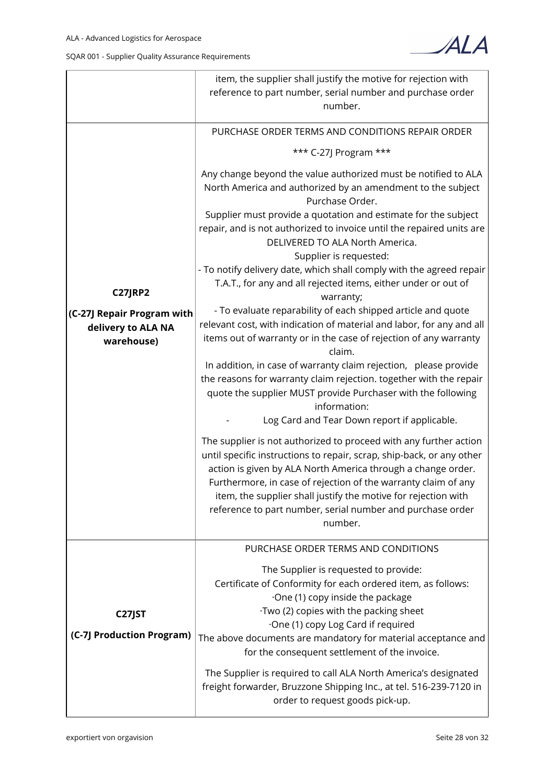

|                                                                                  | item, the supplier shall justify the motive for rejection with<br>reference to part number, serial number and purchase order<br>number.                                                                                                                                                                                                                                                                                                                                 |  |  |  |  |
|----------------------------------------------------------------------------------|-------------------------------------------------------------------------------------------------------------------------------------------------------------------------------------------------------------------------------------------------------------------------------------------------------------------------------------------------------------------------------------------------------------------------------------------------------------------------|--|--|--|--|
| <b>C27JRP2</b><br>(C-27J Repair Program with<br>delivery to ALA NA<br>warehouse) | PURCHASE ORDER TERMS AND CONDITIONS REPAIR ORDER<br>*** C-27J Program ***<br>Any change beyond the value authorized must be notified to ALA<br>North America and authorized by an amendment to the subject<br>Purchase Order.                                                                                                                                                                                                                                           |  |  |  |  |
|                                                                                  | Supplier must provide a quotation and estimate for the subject<br>repair, and is not authorized to invoice until the repaired units are<br>DELIVERED TO ALA North America.<br>Supplier is requested:<br>- To notify delivery date, which shall comply with the agreed repair<br>T.A.T., for any and all rejected items, either under or out of<br>warranty;                                                                                                             |  |  |  |  |
|                                                                                  | - To evaluate reparability of each shipped article and quote<br>relevant cost, with indication of material and labor, for any and all<br>items out of warranty or in the case of rejection of any warranty<br>claim.                                                                                                                                                                                                                                                    |  |  |  |  |
|                                                                                  | In addition, in case of warranty claim rejection, please provide<br>the reasons for warranty claim rejection. together with the repair<br>quote the supplier MUST provide Purchaser with the following<br>information:                                                                                                                                                                                                                                                  |  |  |  |  |
|                                                                                  | Log Card and Tear Down report if applicable.<br>The supplier is not authorized to proceed with any further action<br>until specific instructions to repair, scrap, ship-back, or any other<br>action is given by ALA North America through a change order.<br>Furthermore, in case of rejection of the warranty claim of any<br>item, the supplier shall justify the motive for rejection with<br>reference to part number, serial number and purchase order<br>number. |  |  |  |  |
| C27JST<br>(C-7J Production Program)                                              | PURCHASE ORDER TERMS AND CONDITIONS<br>The Supplier is requested to provide:<br>Certificate of Conformity for each ordered item, as follows:<br>·One (1) copy inside the package<br>·Two (2) copies with the packing sheet<br>One (1) copy Log Card if required<br>The above documents are mandatory for material acceptance and<br>for the consequent settlement of the invoice.<br>The Supplier is required to call ALA North America's designated                    |  |  |  |  |
|                                                                                  | freight forwarder, Bruzzone Shipping Inc., at tel. 516-239-7120 in<br>order to request goods pick-up.                                                                                                                                                                                                                                                                                                                                                                   |  |  |  |  |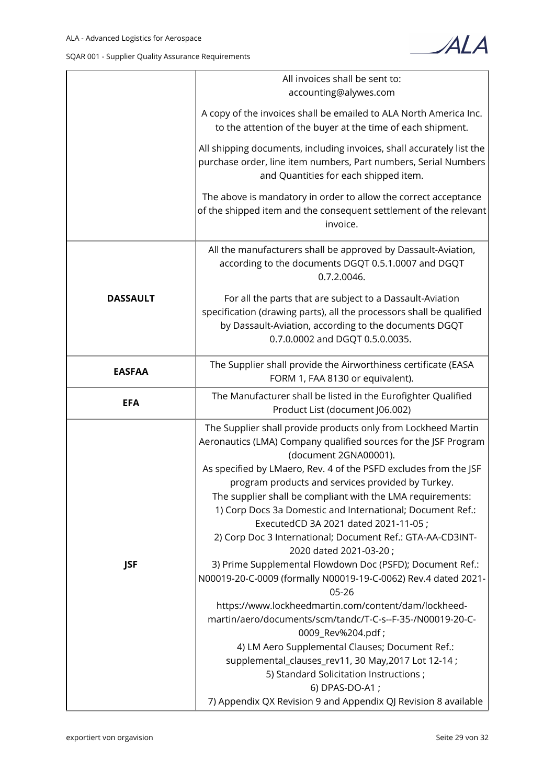

|                 | All invoices shall be sent to:<br>accounting@alywes.com                                                                                                                                                                                                                                                                                                                           |  |  |  |  |
|-----------------|-----------------------------------------------------------------------------------------------------------------------------------------------------------------------------------------------------------------------------------------------------------------------------------------------------------------------------------------------------------------------------------|--|--|--|--|
|                 | A copy of the invoices shall be emailed to ALA North America Inc.<br>to the attention of the buyer at the time of each shipment.                                                                                                                                                                                                                                                  |  |  |  |  |
|                 | All shipping documents, including invoices, shall accurately list the<br>purchase order, line item numbers, Part numbers, Serial Numbers<br>and Quantities for each shipped item.                                                                                                                                                                                                 |  |  |  |  |
|                 | The above is mandatory in order to allow the correct acceptance<br>of the shipped item and the consequent settlement of the relevant<br>invoice.                                                                                                                                                                                                                                  |  |  |  |  |
|                 | All the manufacturers shall be approved by Dassault-Aviation,<br>according to the documents DGQT 0.5.1.0007 and DGQT<br>0.7.2.0046.                                                                                                                                                                                                                                               |  |  |  |  |
| <b>DASSAULT</b> | For all the parts that are subject to a Dassault-Aviation<br>specification (drawing parts), all the processors shall be qualified<br>by Dassault-Aviation, according to the documents DGQT<br>0.7.0.0002 and DGQT 0.5.0.0035.                                                                                                                                                     |  |  |  |  |
| <b>EASFAA</b>   | The Supplier shall provide the Airworthiness certificate (EASA<br>FORM 1, FAA 8130 or equivalent).                                                                                                                                                                                                                                                                                |  |  |  |  |
| <b>EFA</b>      | The Manufacturer shall be listed in the Eurofighter Qualified<br>Product List (document J06.002)                                                                                                                                                                                                                                                                                  |  |  |  |  |
|                 | The Supplier shall provide products only from Lockheed Martin<br>Aeronautics (LMA) Company qualified sources for the JSF Program<br>(document 2GNA00001).                                                                                                                                                                                                                         |  |  |  |  |
|                 | As specified by LMaero, Rev. 4 of the PSFD excludes from the JSF<br>program products and services provided by Turkey.<br>The supplier shall be compliant with the LMA requirements:<br>1) Corp Docs 3a Domestic and International; Document Ref.:<br>ExecutedCD 3A 2021 dated 2021-11-05;<br>2) Corp Doc 3 International; Document Ref.: GTA-AA-CD3INT-<br>2020 dated 2021-03-20; |  |  |  |  |
| <b>JSF</b>      | 3) Prime Supplemental Flowdown Doc (PSFD); Document Ref.:<br>N00019-20-C-0009 (formally N00019-19-C-0062) Rev.4 dated 2021-<br>$05 - 26$                                                                                                                                                                                                                                          |  |  |  |  |
|                 | https://www.lockheedmartin.com/content/dam/lockheed-<br>martin/aero/documents/scm/tandc/T-C-s--F-35-/N00019-20-C-<br>0009_Rev%204.pdf;                                                                                                                                                                                                                                            |  |  |  |  |
|                 | 4) LM Aero Supplemental Clauses; Document Ref.:<br>supplemental_clauses_rev11, 30 May, 2017 Lot 12-14;<br>5) Standard Solicitation Instructions;                                                                                                                                                                                                                                  |  |  |  |  |
|                 | 6) DPAS-DO-A1;<br>7) Appendix QX Revision 9 and Appendix QJ Revision 8 available                                                                                                                                                                                                                                                                                                  |  |  |  |  |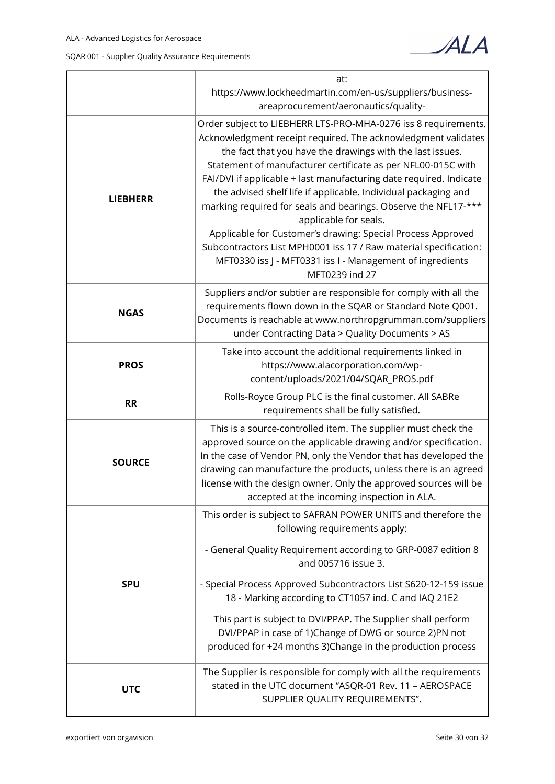|  |  |  |  | SQAR 001 - Supplier Quality Assurance Requirements |
|--|--|--|--|----------------------------------------------------|
|--|--|--|--|----------------------------------------------------|



|                 | at:                                                                                                                                                                                                                                                                                                                                                                                                                                                                                                                                                                                                                                                                                                               |  |  |  |
|-----------------|-------------------------------------------------------------------------------------------------------------------------------------------------------------------------------------------------------------------------------------------------------------------------------------------------------------------------------------------------------------------------------------------------------------------------------------------------------------------------------------------------------------------------------------------------------------------------------------------------------------------------------------------------------------------------------------------------------------------|--|--|--|
|                 | https://www.lockheedmartin.com/en-us/suppliers/business-<br>areaprocurement/aeronautics/quality-                                                                                                                                                                                                                                                                                                                                                                                                                                                                                                                                                                                                                  |  |  |  |
| <b>LIEBHERR</b> | Order subject to LIEBHERR LTS-PRO-MHA-0276 iss 8 requirements.<br>Acknowledgment receipt required. The acknowledgment validates<br>the fact that you have the drawings with the last issues.<br>Statement of manufacturer certificate as per NFL00-015C with<br>FAI/DVI if applicable + last manufacturing date required. Indicate<br>the advised shelf life if applicable. Individual packaging and<br>marking required for seals and bearings. Observe the NFL17-***<br>applicable for seals.<br>Applicable for Customer's drawing: Special Process Approved<br>Subcontractors List MPH0001 iss 17 / Raw material specification:<br>MFT0330 iss J - MFT0331 iss I - Management of ingredients<br>MFT0239 ind 27 |  |  |  |
| <b>NGAS</b>     | Suppliers and/or subtier are responsible for comply with all the<br>requirements flown down in the SQAR or Standard Note Q001.<br>Documents is reachable at www.northropgrumman.com/suppliers<br>under Contracting Data > Quality Documents > AS                                                                                                                                                                                                                                                                                                                                                                                                                                                                  |  |  |  |
| <b>PROS</b>     | Take into account the additional requirements linked in<br>https://www.alacorporation.com/wp-<br>content/uploads/2021/04/SQAR_PROS.pdf                                                                                                                                                                                                                                                                                                                                                                                                                                                                                                                                                                            |  |  |  |
| <b>RR</b>       | Rolls-Royce Group PLC is the final customer. All SABRe<br>requirements shall be fully satisfied.                                                                                                                                                                                                                                                                                                                                                                                                                                                                                                                                                                                                                  |  |  |  |
| <b>SOURCE</b>   | This is a source-controlled item. The supplier must check the<br>approved source on the applicable drawing and/or specification.<br>In the case of Vendor PN, only the Vendor that has developed the<br>drawing can manufacture the products, unless there is an agreed<br>license with the design owner. Only the approved sources will be<br>accepted at the incoming inspection in ALA.                                                                                                                                                                                                                                                                                                                        |  |  |  |
|                 | This order is subject to SAFRAN POWER UNITS and therefore the<br>following requirements apply:                                                                                                                                                                                                                                                                                                                                                                                                                                                                                                                                                                                                                    |  |  |  |
| <b>SPU</b>      | - General Quality Requirement according to GRP-0087 edition 8<br>and 005716 issue 3.                                                                                                                                                                                                                                                                                                                                                                                                                                                                                                                                                                                                                              |  |  |  |
|                 | - Special Process Approved Subcontractors List S620-12-159 issue<br>18 - Marking according to CT1057 ind. C and IAQ 21E2                                                                                                                                                                                                                                                                                                                                                                                                                                                                                                                                                                                          |  |  |  |
|                 | This part is subject to DVI/PPAP. The Supplier shall perform<br>DVI/PPAP in case of 1)Change of DWG or source 2)PN not<br>produced for +24 months 3)Change in the production process                                                                                                                                                                                                                                                                                                                                                                                                                                                                                                                              |  |  |  |
| <b>UTC</b>      | The Supplier is responsible for comply with all the requirements<br>stated in the UTC document "ASQR-01 Rev. 11 - AEROSPACE<br>SUPPLIER QUALITY REQUIREMENTS".                                                                                                                                                                                                                                                                                                                                                                                                                                                                                                                                                    |  |  |  |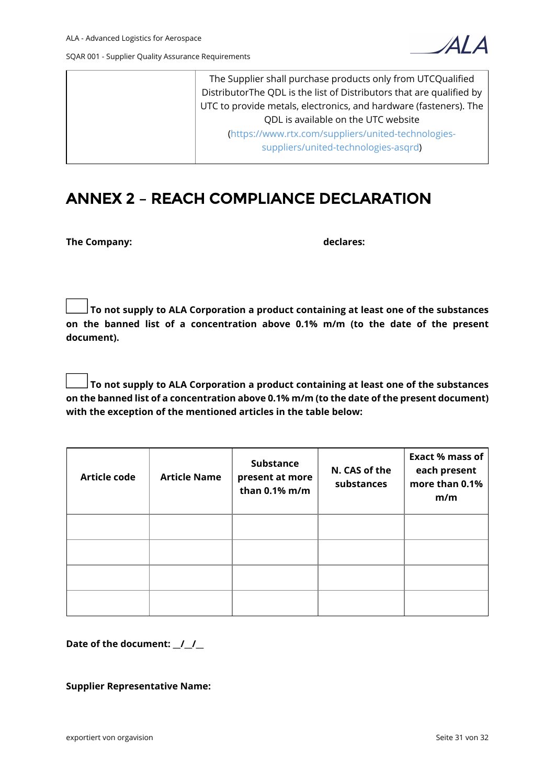

The Supplier shall purchase products only from UTCQualified DistributorThe QDL is the list of Distributors that are qualified by UTC to provide metals, electronics, and hardware (fasteners). The QDL is available on the UTC website ([https://www.rtx.com/suppliers/united-technologies](https://www.rtx.com/suppliers/united-technologies-suppliers/united-technologies-asqrd)[suppliers/united-technologies-asqrd\)](https://www.rtx.com/suppliers/united-technologies-suppliers/united-technologies-asqrd)

# **ANNEX 2 – REACH COMPLIANCE DECLARATION**

**The Company: declares:**

 **To not supply to ALA Corporation a product containing at least one of the substances on the banned list of a concentration above 0.1% m/m (to the date of the present document).**

 **To not supply to ALA Corporation a product containing at least one of the substances on the banned list of a concentration above 0.1% m/m (to the date of the present document) with the exception of the mentioned articles in the table below:**

| <b>Article code</b> | <b>Article Name</b> | <b>Substance</b><br>present at more<br>than 0.1% m/m | N. CAS of the<br>substances | <b>Exact % mass of</b><br>each present<br>more than 0.1%<br>m/m |
|---------------------|---------------------|------------------------------------------------------|-----------------------------|-----------------------------------------------------------------|
|                     |                     |                                                      |                             |                                                                 |
|                     |                     |                                                      |                             |                                                                 |
|                     |                     |                                                      |                             |                                                                 |
|                     |                     |                                                      |                             |                                                                 |

**Date of the document: \_\_/\_\_/\_\_**

**Supplier Representative Name:**